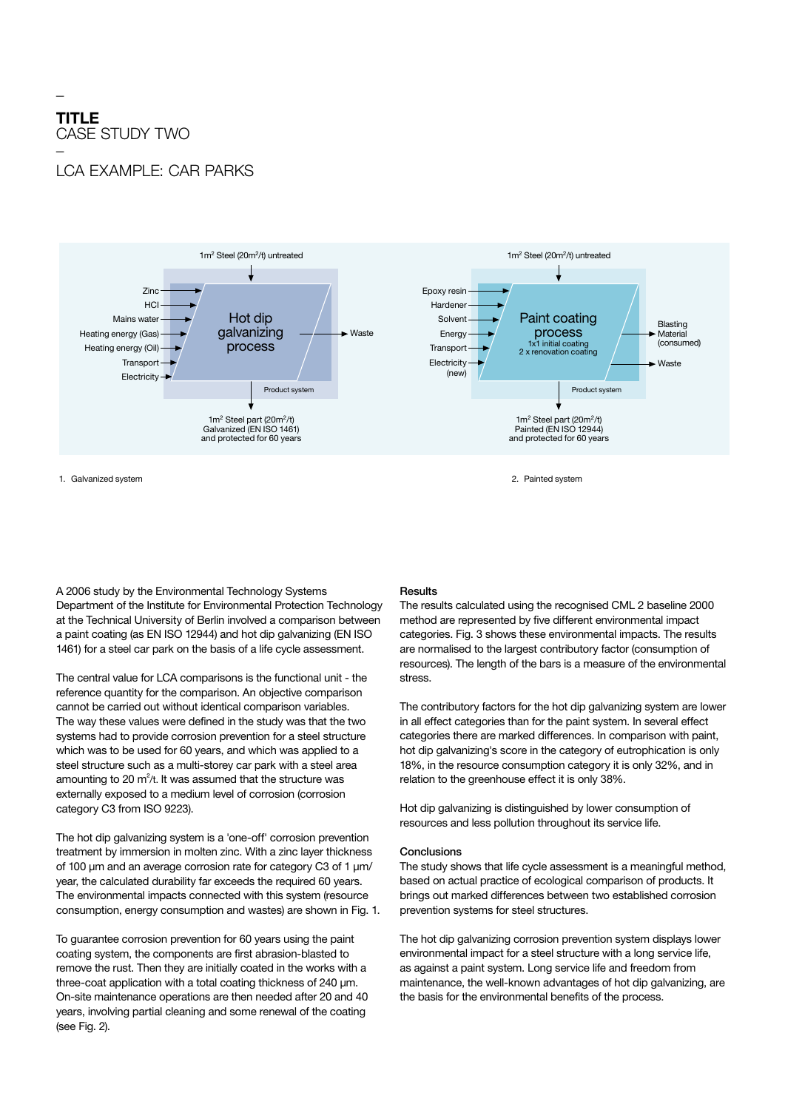## **TITLE**  CASE STUDY TWO

\_

## LCA Example: Car Parks



1. Galvanized system 2. Painted system

A 2006 study by the Environmental Technology Systems Department of the Institute for Environmental Protection Technology at the Technical University of Berlin involved a comparison between a paint coating (as EN ISO 12944) and hot dip galvanizing (EN ISO 1461) for a steel car park on the basis of a life cycle assessment.

The central value for LCA comparisons is the functional unit - the reference quantity for the comparison. An objective comparison cannot be carried out without identical comparison variables. The way these values were defined in the study was that the two systems had to provide corrosion prevention for a steel structure which was to be used for 60 years, and which was applied to a steel structure such as a multi-storey car park with a steel area amounting to 20  $m^2/t$ . It was assumed that the structure was externally exposed to a medium level of corrosion (corrosion category C3 from ISO 9223).

The hot dip galvanizing system is a 'one-off' corrosion prevention treatment by immersion in molten zinc. With a zinc layer thickness of 100 µm and an average corrosion rate for category C3 of 1 µm/ year, the calculated durability far exceeds the required 60 years. The environmental impacts connected with this system (resource consumption, energy consumption and wastes) are shown in Fig. 1.

To guarantee corrosion prevention for 60 years using the paint coating system, the components are first abrasion-blasted to remove the rust. Then they are initially coated in the works with a three-coat application with a total coating thickness of 240 µm. On-site maintenance operations are then needed after 20 and 40 years, involving partial cleaning and some renewal of the coating (see Fig. 2).

## **Results**

The results calculated using the recognised CML 2 baseline 2000 method are represented by five different environmental impact categories. Fig. 3 shows these environmental impacts. The results are normalised to the largest contributory factor (consumption of resources). The length of the bars is a measure of the environmental stress.

The contributory factors for the hot dip galvanizing system are lower in all effect categories than for the paint system. In several effect categories there are marked differences. In comparison with paint, hot dip galvanizing's score in the category of eutrophication is only 18%, in the resource consumption category it is only 32%, and in relation to the greenhouse effect it is only 38%.

Hot dip galvanizing is distinguished by lower consumption of resources and less pollution throughout its service life.

## Conclusions

The study shows that life cycle assessment is a meaningful method, based on actual practice of ecological comparison of products. It brings out marked differences between two established corrosion prevention systems for steel structures.

The hot dip galvanizing corrosion prevention system displays lower environmental impact for a steel structure with a long service life, as against a paint system. Long service life and freedom from maintenance, the well-known advantages of hot dip galvanizing, are the basis for the environmental benefits of the process.